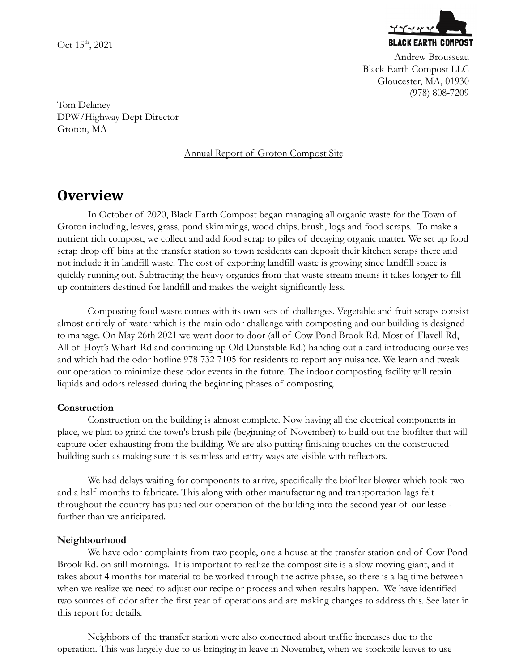Oct  $15^{\text{th}}$ , 2021



Andrew Brousseau Black Earth Compost LLC Gloucester, MA, 01930 (978) 808-7209

Tom Delaney DPW/Highway Dept Director Groton, MA

# Annual Report of Groton Compost Site

# **Overview**

In October of 2020, Black Earth Compost began managing all organic waste for the Town of Groton including, leaves, grass, pond skimmings, wood chips, brush, logs and food scraps. To make a nutrient rich compost, we collect and add food scrap to piles of decaying organic matter. We set up food scrap drop off bins at the transfer station so town residents can deposit their kitchen scraps there and not include it in landfill waste. The cost of exporting landfill waste is growing since landfill space is quickly running out. Subtracting the heavy organics from that waste stream means it takes longer to fill up containers destined for landfill and makes the weight significantly less.

Composting food waste comes with its own sets of challenges. Vegetable and fruit scraps consist almost entirely of water which is the main odor challenge with composting and our building is designed to manage. On May 26th 2021 we went door to door (all of Cow Pond Brook Rd, Most of Flavell Rd, All of Hoyt's Wharf Rd and continuing up Old Dunstable Rd.) handing out a card introducing ourselves and which had the odor hotline 978 732 7105 for residents to report any nuisance. We learn and tweak our operation to minimize these odor events in the future. The indoor composting facility will retain liquids and odors released during the beginning phases of composting.

# **Construction**

Construction on the building is almost complete. Now having all the electrical components in place, we plan to grind the town's brush pile (beginning of November) to build out the biofilter that will capture oder exhausting from the building. We are also putting finishing touches on the constructed building such as making sure it is seamless and entry ways are visible with reflectors.

We had delays waiting for components to arrive, specifically the biofilter blower which took two and a half months to fabricate. This along with other manufacturing and transportation lags felt throughout the country has pushed our operation of the building into the second year of our lease further than we anticipated.

# **Neighbourhood**

We have odor complaints from two people, one a house at the transfer station end of Cow Pond Brook Rd. on still mornings. It is important to realize the compost site is a slow moving giant, and it takes about 4 months for material to be worked through the active phase, so there is a lag time between when we realize we need to adjust our recipe or process and when results happen. We have identified two sources of odor after the first year of operations and are making changes to address this. See later in this report for details.

Neighbors of the transfer station were also concerned about traffic increases due to the operation. This was largely due to us bringing in leave in November, when we stockpile leaves to use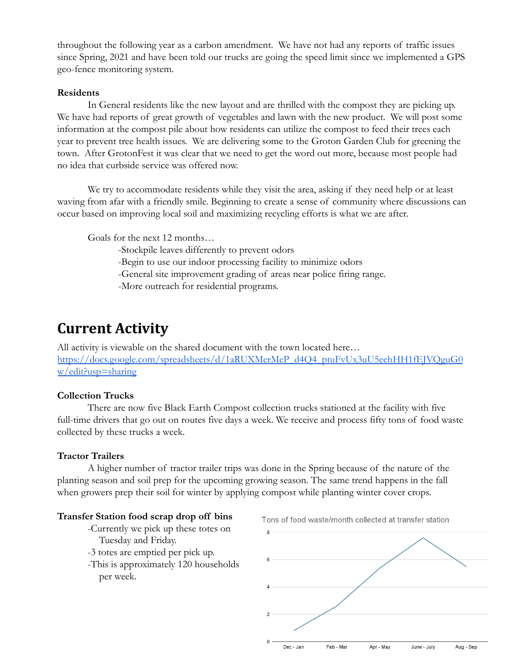throughout the following year as a carbon amendment. We have not had any reports of traffic issues since Spring, 2021 and have been told our trucks are going the speed limit since we implemented a GPS geo-fence monitoring system.

#### **Residents**

In General residents like the new layout and are thrilled with the compost they are picking up. We have had reports of great growth of vegetables and lawn with the new product. We will post some information at the compost pile about how residents can utilize the compost to feed their trees each year to prevent tree health issues. We are delivering some to the Groton Garden Club for greening the town. After GrotonFest it was clear that we need to get the word out more, because most people had no idea that curbside service was offered now.

We try to accommodate residents while they visit the area, asking if they need help or at least waving from afar with a friendly smile. Beginning to create a sense of community where discussions can occur based on improving local soil and maximizing recycling efforts is what we are after.

Goals for the next 12 months…

- -Stockpile leaves differently to prevent odors
- -Begin to use our indoor processing facility to minimize odors
- -General site improvement grading of areas near police firing range.
- -More outreach for residential programs.

# **Current Activity**

All activity is viewable on the shared document with the town located here… [https://docs.google.com/spreadsheets/d/1aRUXMerMeP\\_d4Q4\\_ptuFvUx3uU5eehHH1fEJVQguG0](https://docs.google.com/spreadsheets/d/1aRUXMerMeP_d4Q4_ptuFvUx3uU5eehHH1fEJVQguG0w/edit?usp=sharing) [w/edit?usp=sharing](https://docs.google.com/spreadsheets/d/1aRUXMerMeP_d4Q4_ptuFvUx3uU5eehHH1fEJVQguG0w/edit?usp=sharing)

#### **Collection Trucks**

There are now five Black Earth Compost collection trucks stationed at the facility with five full-time drivers that go out on routes five days a week. We receive and process fifty tons of food waste collected by these trucks a week.

#### **Tractor Trailers**

A higher number of tractor trailer trips was done in the Spring because of the nature of the planting season and soil prep for the upcoming growing season. The same trend happens in the fall when growers prep their soil for winter by applying compost while planting winter cover crops.

#### **Transfer Station food scrap drop off bins**

- -Currently we pick up these totes on Tuesday and Friday.
- -3 totes are emptied per pick up.
- -This is approximately 120 households per week.



Tons of food waste/month collected at transfer station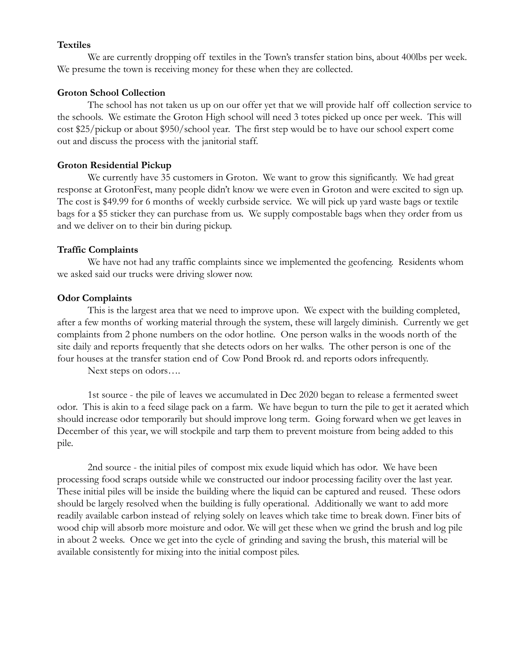#### **Textiles**

We are currently dropping off textiles in the Town's transfer station bins, about 400lbs per week. We presume the town is receiving money for these when they are collected.

#### **Groton School Collection**

The school has not taken us up on our offer yet that we will provide half off collection service to the schools. We estimate the Groton High school will need 3 totes picked up once per week. This will cost \$25/pickup or about \$950/school year. The first step would be to have our school expert come out and discuss the process with the janitorial staff.

# **Groton Residential Pickup**

We currently have 35 customers in Groton. We want to grow this significantly. We had great response at GrotonFest, many people didn't know we were even in Groton and were excited to sign up. The cost is \$49.99 for 6 months of weekly curbside service. We will pick up yard waste bags or textile bags for a \$5 sticker they can purchase from us. We supply compostable bags when they order from us and we deliver on to their bin during pickup.

# **Traffic Complaints**

We have not had any traffic complaints since we implemented the geofencing. Residents whom we asked said our trucks were driving slower now.

# **Odor Complaints**

This is the largest area that we need to improve upon. We expect with the building completed, after a few months of working material through the system, these will largely diminish. Currently we get complaints from 2 phone numbers on the odor hotline. One person walks in the woods north of the site daily and reports frequently that she detects odors on her walks. The other person is one of the four houses at the transfer station end of Cow Pond Brook rd. and reports odors infrequently.

Next steps on odors….

1st source - the pile of leaves we accumulated in Dec 2020 began to release a fermented sweet odor. This is akin to a feed silage pack on a farm. We have begun to turn the pile to get it aerated which should increase odor temporarily but should improve long term. Going forward when we get leaves in December of this year, we will stockpile and tarp them to prevent moisture from being added to this pile.

2nd source - the initial piles of compost mix exude liquid which has odor. We have been processing food scraps outside while we constructed our indoor processing facility over the last year. These initial piles will be inside the building where the liquid can be captured and reused. These odors should be largely resolved when the building is fully operational. Additionally we want to add more readily available carbon instead of relying solely on leaves which take time to break down. Finer bits of wood chip will absorb more moisture and odor. We will get these when we grind the brush and log pile in about 2 weeks. Once we get into the cycle of grinding and saving the brush, this material will be available consistently for mixing into the initial compost piles.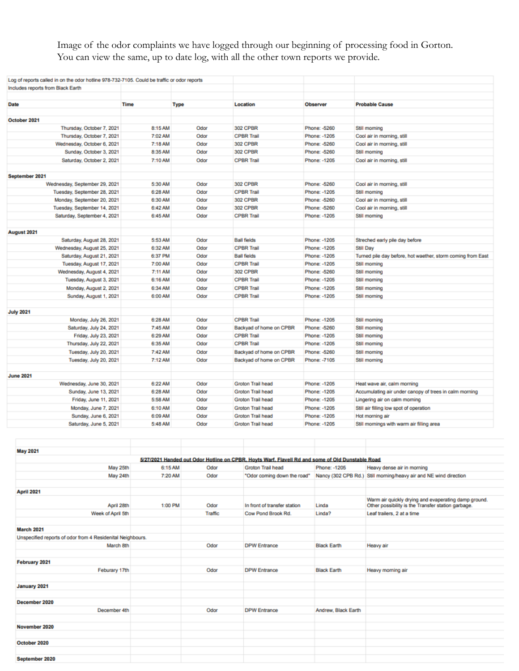Image of the odor complaints we have logged through our beginning of processing food in Gorton. You can view the same, up to date log, with all the other town reports we provide.

| Log of reports called in on the odor hotline 978-732-7105. Could be traffic or odor reports |             |             |                         |                 |                                                             |
|---------------------------------------------------------------------------------------------|-------------|-------------|-------------------------|-----------------|-------------------------------------------------------------|
| Includes reports from Black Earth                                                           |             |             |                         |                 |                                                             |
|                                                                                             |             |             |                         |                 |                                                             |
| <b>Date</b>                                                                                 | <b>Time</b> | <b>Type</b> | Location                | <b>Observer</b> | <b>Probable Cause</b>                                       |
|                                                                                             |             |             |                         |                 |                                                             |
| October 2021                                                                                |             |             |                         |                 |                                                             |
| Thursday, October 7, 2021                                                                   | 8:15 AM     | Odor        | <b>302 CPBR</b>         | Phone: -5260    | Still morning                                               |
| Thursday, October 7, 2021                                                                   | 7:02 AM     | Odor        | <b>CPBR Trail</b>       | Phone: - 1205   | Cool air in morning, still                                  |
| Wednesday, October 6, 2021                                                                  | 7:18 AM     | Odor        | <b>302 CPBR</b>         | Phone: -5260    | Cool air in morning, still                                  |
| Sunday, October 3, 2021                                                                     | 8:35 AM     | Odor        | <b>302 CPBR</b>         | Phone: -5260    | Still morning                                               |
| Saturday, October 2, 2021                                                                   | 7:10 AM     | Odor        | <b>CPBR Trail</b>       | Phone: -1205    | Cool air in morning, still                                  |
|                                                                                             |             |             |                         |                 |                                                             |
| September 2021                                                                              |             |             |                         |                 |                                                             |
| Wednesday, September 29, 2021                                                               | 5:30 AM     | Odor        | <b>302 CPBR</b>         | Phone: -5260    | Cool air in morning, still                                  |
| Tuesday, September 28, 2021                                                                 | 6:28 AM     | Odor        | <b>CPBR Trail</b>       | Phone: - 1205   | Still morning                                               |
| Monday, September 20, 2021                                                                  | 6:30 AM     | Odor        | <b>302 CPBR</b>         | Phone: -5260    | Cool air in morning, still                                  |
| Tuesday, September 14, 2021                                                                 | 6:42 AM     | Odor        | <b>302 CPBR</b>         | Phone: -5260    | Cool air in morning, still                                  |
| Saturday, September 4, 2021                                                                 | 6:45 AM     | Odor        | <b>CPBR Trail</b>       | Phone: - 1205   | Still morning                                               |
|                                                                                             |             |             |                         |                 |                                                             |
| August 2021                                                                                 |             |             |                         |                 |                                                             |
| Saturday, August 28, 2021                                                                   | 5:53 AM     | Odor        | <b>Ball fields</b>      | Phone: -1205    | Streched early pile day before                              |
| Wednesday, August 25, 2021                                                                  | 6:32 AM     | Odor        | <b>CPBR Trail</b>       | Phone: -1205    | Still Day                                                   |
| Saturday, August 21, 2021                                                                   | 6:37 PM     | Odor        | <b>Ball fields</b>      | Phone: - 1205   | Turned pile day before, hot waether, storm coming from East |
| Tuesday, August 17, 2021                                                                    | 7:00 AM     | Odor        | <b>CPBR Trail</b>       | Phone: - 1205   | Still morning                                               |
| Wednesday, August 4, 2021                                                                   | 7:11 AM     | Odor        | <b>302 CPBR</b>         | Phone: -5260    | Still morning                                               |
| Tuesday, August 3, 2021                                                                     | 6:16 AM     | Odor        | <b>CPBR Trail</b>       | Phone: - 1205   | Still morning                                               |
| Monday, August 2, 2021                                                                      | 6:34 AM     | Odor        | <b>CPBR Trail</b>       | Phone: - 1205   | Still morning                                               |
| Sunday, August 1, 2021                                                                      | 6:00 AM     | Odor        | <b>CPBR Trail</b>       | Phone: - 1205   | Still morning                                               |
|                                                                                             |             |             |                         |                 |                                                             |
| <b>July 2021</b>                                                                            |             |             |                         |                 |                                                             |
| Monday, July 26, 2021                                                                       | 6:28 AM     | Odor        | <b>CPBR Trail</b>       | Phone: - 1205   | Still morning                                               |
| Saturday, July 24, 2021                                                                     | 7:45 AM     | Odor        | Backyad of home on CPBR | Phone: -5260    | Still morning                                               |
| Friday, July 23, 2021                                                                       | 6:29 AM     | Odor        | <b>CPBR Trail</b>       | Phone: -1205    | Still morning                                               |
| Thursday, July 22, 2021                                                                     | 6:35 AM     | Odor        | <b>CPBR Trail</b>       | Phone: - 1205   | Still morning                                               |
| Tuesday, July 20, 2021                                                                      | 7:42 AM     | Odor        | Backyad of home on CPBR | Phone: -5260    | Still morning                                               |
| Tuesday, July 20, 2021                                                                      | 7:12 AM     | Odor        | Backyad of home on CPBR | Phone: -7105    | Still morning                                               |
| <b>June 2021</b>                                                                            |             |             |                         |                 |                                                             |
| Wednesday, June 30, 2021                                                                    | 6:22 AM     | Odor        | Groton Trail head       | Phone: - 1205   | Heat wave air, calm morning                                 |
| Sunday, June 13, 2021                                                                       | 6:28 AM     | Odor        | Groton Trail head       | Phone: -1205    | Accumulating air under canopy of trees in calm morning      |
| Friday, June 11, 2021                                                                       | 5:58 AM     | Odor        | Groton Trail head       | Phone: -1205    | Lingering air on calm morning                               |
| Monday, June 7, 2021                                                                        | 6:10 AM     | Odor        | Groton Trail head       | Phone: -1205    | Still air filling low spot of operation                     |
| Sunday, June 6, 2021                                                                        | 6:09 AM     | Odor        | Groton Trail head       | Phone: - 1205   | Hot morning air                                             |
| Saturday, June 5, 2021                                                                      | 5:48 AM     | Odor        | Groton Trail head       | Phone: - 1205   | Still mornings with warm air filling area                   |
|                                                                                             |             |             |                         |                 |                                                             |

| <b>May 2021</b>                                            |         |         |                                                                                                  |                     |                                                                                                            |
|------------------------------------------------------------|---------|---------|--------------------------------------------------------------------------------------------------|---------------------|------------------------------------------------------------------------------------------------------------|
|                                                            |         |         | 5/27/2021 Handed out Odor Hotline on CPBR, Hoyts Warf, Flavell Rd and some of Old Dunstable Road |                     |                                                                                                            |
| May 25th                                                   | 6:15 AM | Odor    | Groton Trail head                                                                                | Phone: -1205        | Heavy dense air in morning                                                                                 |
| May 24th                                                   | 7:20 AM | Odor    |                                                                                                  |                     | "Odor coming down the road" Nancy (302 CPB Rd.) Still morning/heavy air and NE wind direction              |
|                                                            |         |         |                                                                                                  |                     |                                                                                                            |
| April 2021                                                 |         |         |                                                                                                  |                     |                                                                                                            |
| April 28th                                                 | 1:00 PM | Odor    | In front of transfer station                                                                     | Linda               | Warm air quickly drying and evaperating damp ground.<br>Other possibility is the Transfer station garbage. |
| Week of April 5th                                          |         | Traffic | Cow Pond Brook Rd.                                                                               | Linda?              | Leaf trailers, 2 at a time                                                                                 |
|                                                            |         |         |                                                                                                  |                     |                                                                                                            |
| <b>March 2021</b>                                          |         |         |                                                                                                  |                     |                                                                                                            |
| Unspecified reports of odor from 4 Residenital Neighbours. |         |         |                                                                                                  |                     |                                                                                                            |
| March 8th                                                  |         | Odor    | <b>DPW Entrance</b>                                                                              | <b>Black Earth</b>  | Heavy air                                                                                                  |
|                                                            |         |         |                                                                                                  |                     |                                                                                                            |
| February 2021                                              |         |         |                                                                                                  |                     |                                                                                                            |
| Feburary 17th                                              |         | Odor    | <b>DPW Entrance</b>                                                                              | <b>Black Earth</b>  | Heavy morning air                                                                                          |
|                                                            |         |         |                                                                                                  |                     |                                                                                                            |
| January 2021                                               |         |         |                                                                                                  |                     |                                                                                                            |
|                                                            |         |         |                                                                                                  |                     |                                                                                                            |
| December 2020                                              |         |         |                                                                                                  |                     |                                                                                                            |
| December 4th                                               |         | Odor    | <b>DPW Entrance</b>                                                                              | Andrew, Black Earth |                                                                                                            |
|                                                            |         |         |                                                                                                  |                     |                                                                                                            |
| November 2020                                              |         |         |                                                                                                  |                     |                                                                                                            |
|                                                            |         |         |                                                                                                  |                     |                                                                                                            |
| October 2020                                               |         |         |                                                                                                  |                     |                                                                                                            |
|                                                            |         |         |                                                                                                  |                     |                                                                                                            |
| September 2020                                             |         |         |                                                                                                  |                     |                                                                                                            |
|                                                            |         |         |                                                                                                  |                     |                                                                                                            |